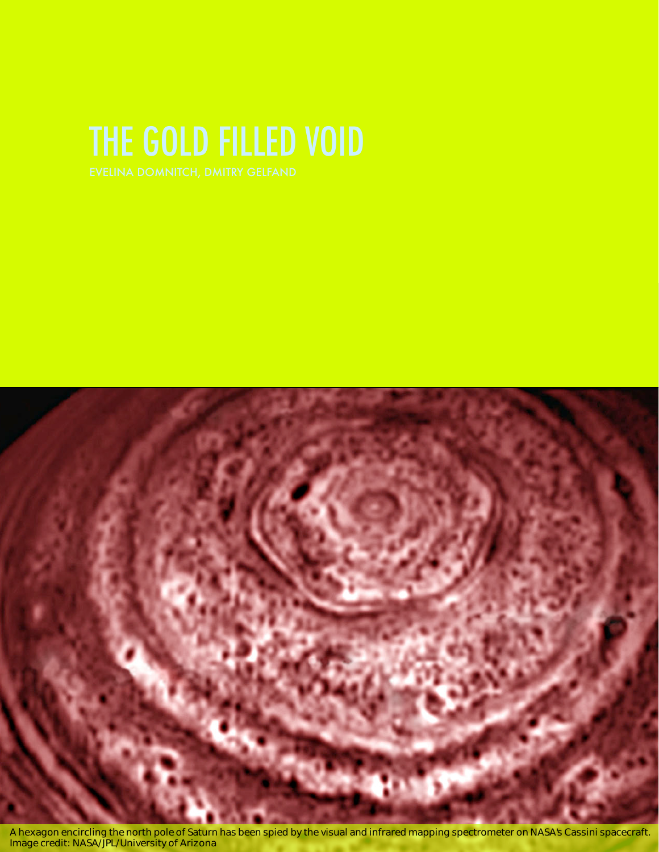

A hexagon encircling the north pole of Saturn has been spied by the visual and infrared mapping spectrometer on NASA*'*s Cassini spacecraft*.* Image credit*:* NASA*/*JPL*/*University of Arizona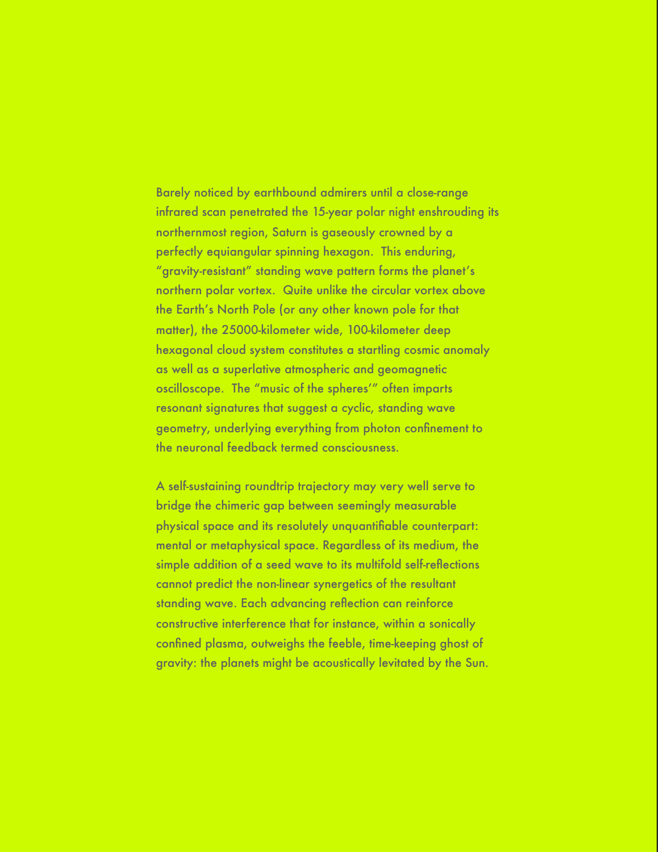Barely noticed by earthbound admirers until a close-range infrared scan penetrated the 15-year polar night enshrouding its northernmost region, Saturn is gaseously crowned by a perfectly equiangular spinning hexagon. This enduring, "gravity-resistant" standing wave pattern forms the planet's northern polar vortex. Quite unlike the circular vortex above the Earth's North Pole (or any other known pole for that matter), the 25000-kilometer wide, 100-kilometer deep hexagonal cloud system constitutes a startling cosmic anomaly as well as a superlative atmospheric and geomagnetic oscilloscope. The "music of the spheres'" often imparts resonant signatures that suggest a cyclic, standing wave geometry, underlying everything from photon confinement to the neuronal feedback termed consciousness.

A self-sustaining roundtrip trajectory may very well serve to bridge the chimeric gap between seemingly measurable physical space and its resolutely unquantifiable counterpart: mental or metaphysical space. Regardless of its medium, the simple addition of a seed wave to its multifold self-reflections cannot predict the non-linear synergetics of the resultant standing wave. Each advancing reflection can reinforce constructive interference that for instance, within a sonically confined plasma, outweighs the feeble, time-keeping ghost of gravity: the planets might be acoustically levitated by the Sun.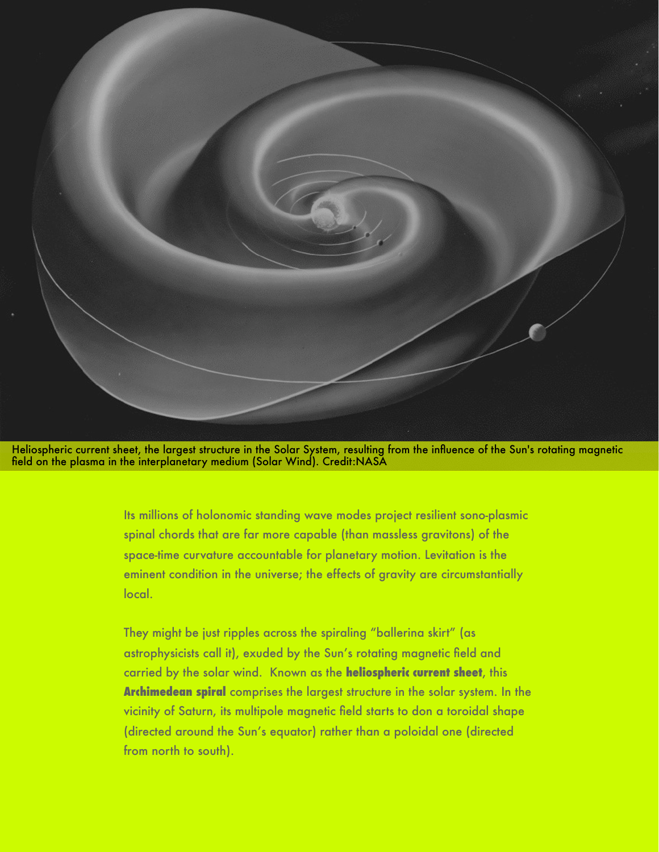

Heliospheric current sheet, the largest structure in the Solar System, resulting from the influence of the Sun's rotating magnetic field on the plasma in the interplanetary medium (Solar Wind). Credit:NASA

> Its millions of holonomic standing wave modes project resilient sono-plasmic spinal chords that are far more capable (than massless gravitons) of the space-time curvature accountable for planetary motion. Levitation is the eminent condition in the universe; the effects of gravity are circumstantially local.

They might be just ripples across the spiraling "ballerina skirt" (as astrophysicists call it), exuded by the Sun's rotating magnetic field and carried by the solar wind. Known as the **heliospheric current sheet**, this **Archimedean spiral** comprises the largest structure in the solar system. In the vicinity of Saturn, its multipole magnetic field starts to don a toroidal shape (directed around the Sun's equator) rather than a poloidal one (directed from north to south).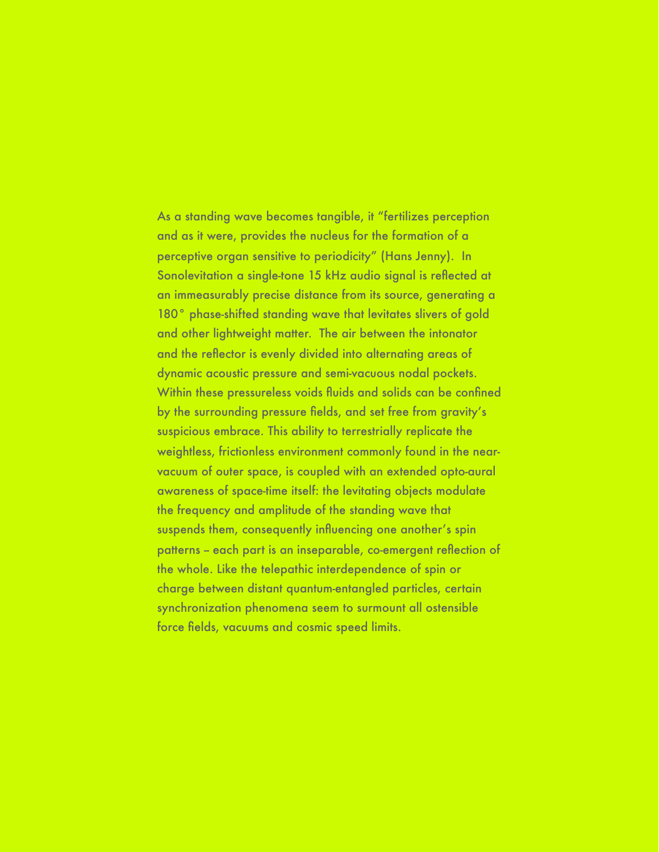As a standing wave becomes tangible, it "fertilizes perception and as it were, provides the nucleus for the formation of a perceptive organ sensitive to periodicity" (Hans Jenny). In Sonolevitation a single-tone 15 kHz audio signal is reflected at an immeasurably precise distance from its source, generating a 180° phase-shifted standing wave that levitates slivers of gold and other lightweight matter. The air between the intonator and the reflector is evenly divided into alternating areas of dynamic acoustic pressure and semi-vacuous nodal pockets. Within these pressureless voids fluids and solids can be confined by the surrounding pressure fields, and set free from gravity's suspicious embrace. This ability to terrestrially replicate the weightless, frictionless environment commonly found in the nearvacuum of outer space, is coupled with an extended opto-aural awareness of space-time itself: the levitating objects modulate the frequency and amplitude of the standing wave that suspends them, consequently influencing one another's spin patterns - each part is an inseparable, co-emergent reflection of the whole. Like the telepathic interdependence of spin or charge between distant quantum-entangled particles, certain synchronization phenomena seem to surmount all ostensible force fields, vacuums and cosmic speed limits.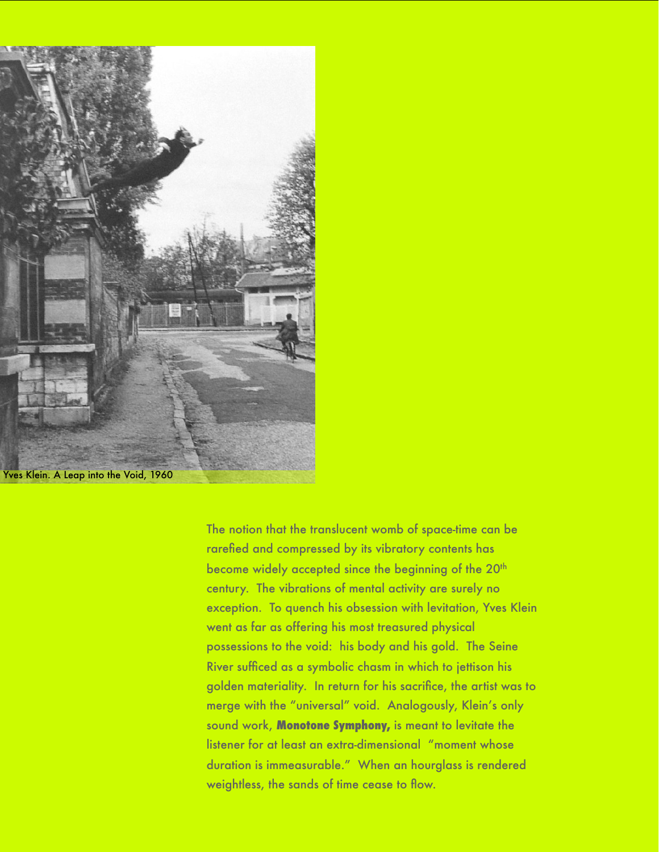

The notion that the translucent womb of space-time can be rarefied and compressed by its vibratory contents has become widely accepted since the beginning of the 20<sup>th</sup> century. The vibrations of mental activity are surely no exception. To quench his obsession with levitation, Yves Klein went as far as offering his most treasured physical possessions to the void: his body and his gold. The Seine River sufficed as a symbolic chasm in which to jettison his golden materiality. In return for his sacrifice, the artist was to merge with the "universal" void. Analogously, Klein's only sound work, **Monotone Symphony,** is meant to levitate the listener for at least an extra-dimensional "moment whose duration is immeasurable." When an hourglass is rendered weightless, the sands of time cease to flow.